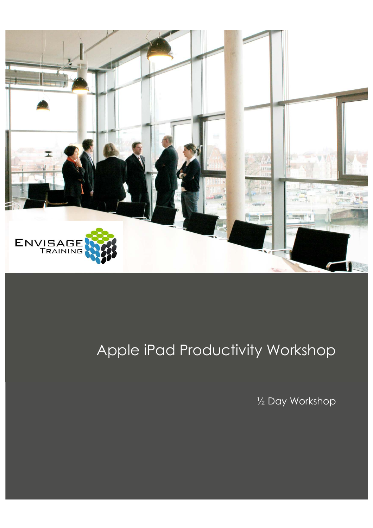

# Apple iPad Productivity Workshop

½ Day Workshop